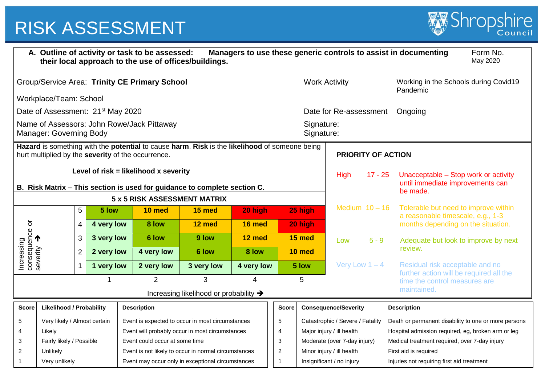

| A. Outline of activity or task to be assessed:<br>Managers to use these generic controls to assist in documenting<br>Form No.<br>their local approach to the use of offices/buildings.<br>May 2020 |                                                      |               |                                                                                                                       |                                        |                                                                              |                                                                                                                 |                                                                                                                                                                                                                                                                                                                                                     |                                                                          |                                                       |                                                                                                                 |                                                                                                                                               |  |
|----------------------------------------------------------------------------------------------------------------------------------------------------------------------------------------------------|------------------------------------------------------|---------------|-----------------------------------------------------------------------------------------------------------------------|----------------------------------------|------------------------------------------------------------------------------|-----------------------------------------------------------------------------------------------------------------|-----------------------------------------------------------------------------------------------------------------------------------------------------------------------------------------------------------------------------------------------------------------------------------------------------------------------------------------------------|--------------------------------------------------------------------------|-------------------------------------------------------|-----------------------------------------------------------------------------------------------------------------|-----------------------------------------------------------------------------------------------------------------------------------------------|--|
|                                                                                                                                                                                                    |                                                      |               |                                                                                                                       |                                        |                                                                              |                                                                                                                 |                                                                                                                                                                                                                                                                                                                                                     | <b>Work Activity</b>                                                     |                                                       |                                                                                                                 | Working in the Schools during Covid19<br>Pandemic                                                                                             |  |
|                                                                                                                                                                                                    |                                                      |               |                                                                                                                       |                                        |                                                                              |                                                                                                                 |                                                                                                                                                                                                                                                                                                                                                     |                                                                          |                                                       |                                                                                                                 |                                                                                                                                               |  |
|                                                                                                                                                                                                    |                                                      |               |                                                                                                                       |                                        |                                                                              |                                                                                                                 |                                                                                                                                                                                                                                                                                                                                                     |                                                                          |                                                       |                                                                                                                 | Ongoing                                                                                                                                       |  |
| Name of Assessors: John Rowe/Jack Pittaway<br>Manager: Governing Body                                                                                                                              |                                                      |               |                                                                                                                       |                                        |                                                                              |                                                                                                                 |                                                                                                                                                                                                                                                                                                                                                     |                                                                          |                                                       |                                                                                                                 |                                                                                                                                               |  |
| Hazard is something with the potential to cause harm. Risk is the likelihood of someone being<br>hurt multiplied by the severity of the occurrence.                                                |                                                      |               |                                                                                                                       |                                        |                                                                              |                                                                                                                 |                                                                                                                                                                                                                                                                                                                                                     | <b>PRIORITY OF ACTION</b>                                                |                                                       |                                                                                                                 |                                                                                                                                               |  |
| Level of $risk = likelihood \times severity$                                                                                                                                                       |                                                      |               |                                                                                                                       |                                        |                                                                              |                                                                                                                 |                                                                                                                                                                                                                                                                                                                                                     | <b>High</b><br>$17 - 25$                                                 |                                                       | Unacceptable - Stop work or activity<br>until immediate improvements can                                        |                                                                                                                                               |  |
|                                                                                                                                                                                                    |                                                      |               |                                                                                                                       |                                        |                                                                              |                                                                                                                 |                                                                                                                                                                                                                                                                                                                                                     |                                                                          |                                                       |                                                                                                                 | be made.                                                                                                                                      |  |
|                                                                                                                                                                                                    | 5<br>5 low<br>$\overline{4}$                         |               |                                                                                                                       | 10 med                                 | 15 med                                                                       | 20 high                                                                                                         |                                                                                                                                                                                                                                                                                                                                                     |                                                                          | Medium $10 - 16$                                      |                                                                                                                 | Tolerable but need to improve within<br>a reasonable timescale, e.g., 1-3                                                                     |  |
|                                                                                                                                                                                                    |                                                      |               | 4 very low                                                                                                            |                                        | 12 med                                                                       |                                                                                                                 |                                                                                                                                                                                                                                                                                                                                                     |                                                                          |                                                       |                                                                                                                 | months depending on the situation.                                                                                                            |  |
|                                                                                                                                                                                                    | 3                                                    |               |                                                                                                                       | 6 low                                  | 9 low<br>12 med                                                              |                                                                                                                 | 15 med                                                                                                                                                                                                                                                                                                                                              |                                                                          | Low                                                   | $5 - 9$                                                                                                         | Adequate but look to improve by next                                                                                                          |  |
|                                                                                                                                                                                                    | $\overline{2}$                                       |               |                                                                                                                       | 4 very low                             | 6 low                                                                        | 8 low                                                                                                           |                                                                                                                                                                                                                                                                                                                                                     |                                                                          |                                                       |                                                                                                                 | review.                                                                                                                                       |  |
|                                                                                                                                                                                                    |                                                      |               |                                                                                                                       | 2 very low                             | 3 very low                                                                   |                                                                                                                 |                                                                                                                                                                                                                                                                                                                                                     |                                                                          |                                                       |                                                                                                                 | Residual risk acceptable and no<br>further action will be required all the                                                                    |  |
|                                                                                                                                                                                                    |                                                      |               |                                                                                                                       | 2                                      | 3                                                                            | $\boldsymbol{\Lambda}$                                                                                          |                                                                                                                                                                                                                                                                                                                                                     | 5                                                                        |                                                       |                                                                                                                 | time the control measures are                                                                                                                 |  |
|                                                                                                                                                                                                    |                                                      |               |                                                                                                                       |                                        |                                                                              |                                                                                                                 |                                                                                                                                                                                                                                                                                                                                                     |                                                                          |                                                       |                                                                                                                 | maintained.                                                                                                                                   |  |
|                                                                                                                                                                                                    |                                                      |               |                                                                                                                       |                                        |                                                                              |                                                                                                                 |                                                                                                                                                                                                                                                                                                                                                     |                                                                          |                                                       |                                                                                                                 | <b>Description</b>                                                                                                                            |  |
|                                                                                                                                                                                                    |                                                      |               |                                                                                                                       |                                        |                                                                              |                                                                                                                 | 5                                                                                                                                                                                                                                                                                                                                                   |                                                                          |                                                       |                                                                                                                 | Death or permanent disability to one or more persons                                                                                          |  |
| Likely                                                                                                                                                                                             |                                                      |               |                                                                                                                       |                                        |                                                                              |                                                                                                                 | 4                                                                                                                                                                                                                                                                                                                                                   |                                                                          |                                                       |                                                                                                                 | Hospital admission required, eg, broken arm or leg                                                                                            |  |
|                                                                                                                                                                                                    |                                                      |               |                                                                                                                       |                                        |                                                                              |                                                                                                                 |                                                                                                                                                                                                                                                                                                                                                     |                                                                          |                                                       |                                                                                                                 | Medical treatment required, over 7-day injury                                                                                                 |  |
| $\overline{2}$                                                                                                                                                                                     |                                                      |               |                                                                                                                       |                                        |                                                                              |                                                                                                                 |                                                                                                                                                                                                                                                                                                                                                     |                                                                          |                                                       | First aid is required<br>Injuries not requiring first aid treatment                                             |                                                                                                                                               |  |
|                                                                                                                                                                                                    | consequence or<br>severity $\rightarrow$<br>Unlikely | Very unlikely | Workplace/Team: School<br><b>Likelihood / Probability</b><br>Very likely / Almost certain<br>Fairly likely / Possible | 3 very low<br>2 very low<br>1 very low | Date of Assessment: 21 <sup>st</sup> May 2020<br>8 low<br><b>Description</b> | Group/Service Area: Trinity CE Primary School<br>5 x 5 RISK ASSESSMENT MATRIX<br>Event could occur at some time | B. Risk Matrix - This section is used for guidance to complete section C.<br>Increasing likelihood or probability $\rightarrow$<br>Event is expected to occur in most circumstances<br>Event will probably occur in most circumstances<br>Event is not likely to occur in normal circumstances<br>Event may occur only in exceptional circumstances | 16 med<br>4 very low<br>$\mathbf{3}$<br>$\boldsymbol{2}$<br>$\mathbf{1}$ | 25 high<br>20 high<br>10 med<br>5 low<br><b>Score</b> | Signature:<br>Signature:<br>Major injury / ill health<br>Minor injury / ill health<br>Insignificant / no injury | Date for Re-assessment<br>Very Low $1 - 4$<br><b>Consequence/Severity</b><br>Catastrophic / Severe / Fatality<br>Moderate (over 7-day injury) |  |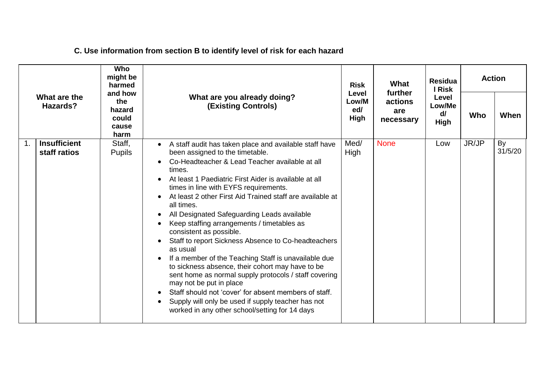| What are the<br>Hazards? |                                     | Who<br>might be<br>harmed                          |                                                                                                                                                                                                                                                                                                                                                                                                                                                                                                                                                                                                                                                                                                                                                                                                                                                                                                | <b>Risk</b><br>Level | What<br>further             | <b>Residua</b><br>I Risk      | <b>Action</b> |               |
|--------------------------|-------------------------------------|----------------------------------------------------|------------------------------------------------------------------------------------------------------------------------------------------------------------------------------------------------------------------------------------------------------------------------------------------------------------------------------------------------------------------------------------------------------------------------------------------------------------------------------------------------------------------------------------------------------------------------------------------------------------------------------------------------------------------------------------------------------------------------------------------------------------------------------------------------------------------------------------------------------------------------------------------------|----------------------|-----------------------------|-------------------------------|---------------|---------------|
|                          |                                     | and how<br>the<br>hazard<br>could<br>cause<br>harm | What are you already doing?<br><b>(Existing Controls)</b>                                                                                                                                                                                                                                                                                                                                                                                                                                                                                                                                                                                                                                                                                                                                                                                                                                      |                      | actions<br>are<br>necessary | Level<br>Low/Me<br>d/<br>High | Who           | When          |
| $\mathbf 1$ .            | <b>Insufficient</b><br>staff ratios | Staff,<br><b>Pupils</b>                            | A staff audit has taken place and available staff have<br>been assigned to the timetable.<br>Co-Headteacher & Lead Teacher available at all<br>times.<br>At least 1 Paediatric First Aider is available at all<br>times in line with EYFS requirements.<br>At least 2 other First Aid Trained staff are available at<br>all times.<br>All Designated Safeguarding Leads available<br>Keep staffing arrangements / timetables as<br>consistent as possible.<br>Staff to report Sickness Absence to Co-headteachers<br>as usual<br>If a member of the Teaching Staff is unavailable due<br>to sickness absence, their cohort may have to be<br>sent home as normal supply protocols / staff covering<br>may not be put in place<br>Staff should not 'cover' for absent members of staff.<br>Supply will only be used if supply teacher has not<br>worked in any other school/setting for 14 days | Med/<br>High         | <b>None</b>                 | Low                           | JR/JP         | By<br>31/5/20 |

# **C. Use information from section B to identify level of risk for each hazard**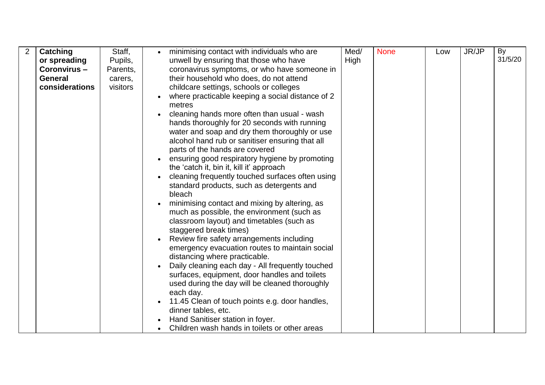| 2 | Catching       | Staff,   | $\bullet$ | minimising contact with individuals who are                                                                                                                                                                                                                                                                                                                                                                                                                                                                                                                                                                                                    | Med/ | <b>None</b> | Low | JR/JP | By      |
|---|----------------|----------|-----------|------------------------------------------------------------------------------------------------------------------------------------------------------------------------------------------------------------------------------------------------------------------------------------------------------------------------------------------------------------------------------------------------------------------------------------------------------------------------------------------------------------------------------------------------------------------------------------------------------------------------------------------------|------|-------------|-----|-------|---------|
|   | or spreading   | Pupils,  |           | unwell by ensuring that those who have                                                                                                                                                                                                                                                                                                                                                                                                                                                                                                                                                                                                         | High |             |     |       | 31/5/20 |
|   | Coronvirus-    | Parents, |           | coronavirus symptoms, or who have someone in                                                                                                                                                                                                                                                                                                                                                                                                                                                                                                                                                                                                   |      |             |     |       |         |
|   | <b>General</b> | carers,  |           | their household who does, do not attend                                                                                                                                                                                                                                                                                                                                                                                                                                                                                                                                                                                                        |      |             |     |       |         |
|   | considerations | visitors |           | childcare settings, schools or colleges                                                                                                                                                                                                                                                                                                                                                                                                                                                                                                                                                                                                        |      |             |     |       |         |
|   |                |          | $\bullet$ | where practicable keeping a social distance of 2<br>metres<br>cleaning hands more often than usual - wash<br>hands thoroughly for 20 seconds with running<br>water and soap and dry them thoroughly or use<br>alcohol hand rub or sanitiser ensuring that all<br>parts of the hands are covered<br>ensuring good respiratory hygiene by promoting<br>the 'catch it, bin it, kill it' approach<br>cleaning frequently touched surfaces often using<br>standard products, such as detergents and                                                                                                                                                 |      |             |     |       |         |
|   |                |          |           | bleach<br>minimising contact and mixing by altering, as<br>much as possible, the environment (such as<br>classroom layout) and timetables (such as<br>staggered break times)<br>Review fire safety arrangements including<br>emergency evacuation routes to maintain social<br>distancing where practicable.<br>Daily cleaning each day - All frequently touched<br>surfaces, equipment, door handles and toilets<br>used during the day will be cleaned thoroughly<br>each day.<br>11.45 Clean of touch points e.g. door handles,<br>dinner tables, etc.<br>Hand Sanitiser station in foyer.<br>Children wash hands in toilets or other areas |      |             |     |       |         |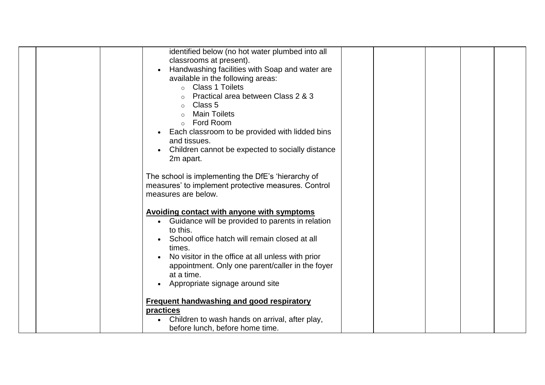| identified below (no hot water plumbed into all             |  |  |
|-------------------------------------------------------------|--|--|
|                                                             |  |  |
| classrooms at present).                                     |  |  |
| Handwashing facilities with Soap and water are<br>$\bullet$ |  |  |
| available in the following areas:                           |  |  |
| Class 1 Toilets                                             |  |  |
| Practical area between Class 2 & 3                          |  |  |
| Class 5                                                     |  |  |
| <b>Main Toilets</b><br>$\Omega$                             |  |  |
| Ford Room<br>$\Omega$                                       |  |  |
| Each classroom to be provided with lidded bins              |  |  |
| and tissues.                                                |  |  |
|                                                             |  |  |
| Children cannot be expected to socially distance            |  |  |
| 2m apart.                                                   |  |  |
|                                                             |  |  |
| The school is implementing the DfE's 'hierarchy of          |  |  |
| measures' to implement protective measures. Control         |  |  |
| measures are below.                                         |  |  |
|                                                             |  |  |
| <b>Avoiding contact with anyone with symptoms</b>           |  |  |
| • Guidance will be provided to parents in relation          |  |  |
| to this.                                                    |  |  |
| School office hatch will remain closed at all               |  |  |
| times.                                                      |  |  |
| No visitor in the office at all unless with prior           |  |  |
| appointment. Only one parent/caller in the foyer            |  |  |
| at a time.                                                  |  |  |
| Appropriate signage around site<br>$\bullet$                |  |  |
|                                                             |  |  |
| <b>Frequent handwashing and good respiratory</b>            |  |  |
| practices                                                   |  |  |
| Children to wash hands on arrival, after play,              |  |  |
| before lunch, before home time.                             |  |  |
|                                                             |  |  |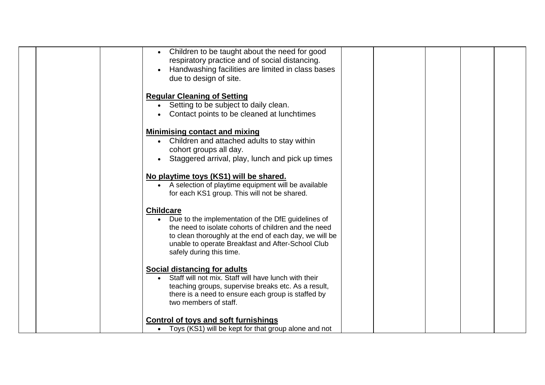| Children to be taught about the need for good<br>respiratory practice and of social distancing.<br>Handwashing facilities are limited in class bases<br>due to design of site.                                                                                              |  |  |  |
|-----------------------------------------------------------------------------------------------------------------------------------------------------------------------------------------------------------------------------------------------------------------------------|--|--|--|
| <b>Regular Cleaning of Setting</b><br>• Setting to be subject to daily clean.<br>Contact points to be cleaned at lunchtimes                                                                                                                                                 |  |  |  |
| <b>Minimising contact and mixing</b><br>• Children and attached adults to stay within<br>cohort groups all day.<br>Staggered arrival, play, lunch and pick up times                                                                                                         |  |  |  |
| No playtime toys (KS1) will be shared.<br>• A selection of playtime equipment will be available<br>for each KS1 group. This will not be shared.                                                                                                                             |  |  |  |
| <b>Childcare</b><br>• Due to the implementation of the DfE guidelines of<br>the need to isolate cohorts of children and the need<br>to clean thoroughly at the end of each day, we will be<br>unable to operate Breakfast and After-School Club<br>safely during this time. |  |  |  |
| <b>Social distancing for adults</b><br>Staff will not mix. Staff will have lunch with their<br>teaching groups, supervise breaks etc. As a result,<br>there is a need to ensure each group is staffed by<br>two members of staff.                                           |  |  |  |
| <b>Control of toys and soft furnishings</b><br>Toys (KS1) will be kept for that group alone and not<br>$\bullet$                                                                                                                                                            |  |  |  |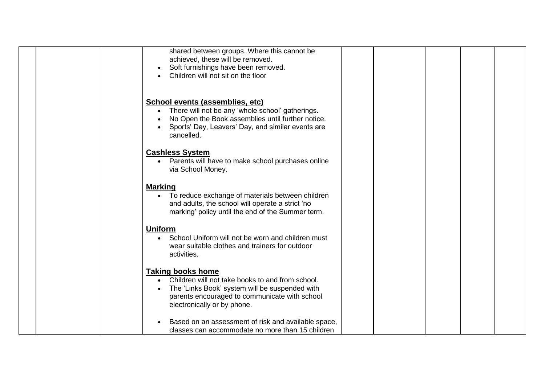| shared between groups. Where this cannot be<br>achieved, these will be removed.<br>Soft furnishings have been removed.<br>Children will not sit on the floor                                                   |
|----------------------------------------------------------------------------------------------------------------------------------------------------------------------------------------------------------------|
| School events (assemblies, etc)<br>There will not be any 'whole school' gatherings.<br>No Open the Book assemblies until further notice.<br>Sports' Day, Leavers' Day, and similar events are<br>cancelled.    |
| <b>Cashless System</b><br>• Parents will have to make school purchases online<br>via School Money.                                                                                                             |
| <b>Marking</b><br>To reduce exchange of materials between children<br>and adults, the school will operate a strict 'no<br>marking' policy until the end of the Summer term.                                    |
| <b>Uniform</b><br>School Uniform will not be worn and children must<br>wear suitable clothes and trainers for outdoor<br>activities.                                                                           |
| <b>Taking books home</b><br>Children will not take books to and from school.<br>The 'Links Book' system will be suspended with<br>parents encouraged to communicate with school<br>electronically or by phone. |
| Based on an assessment of risk and available space,<br>classes can accommodate no more than 15 children                                                                                                        |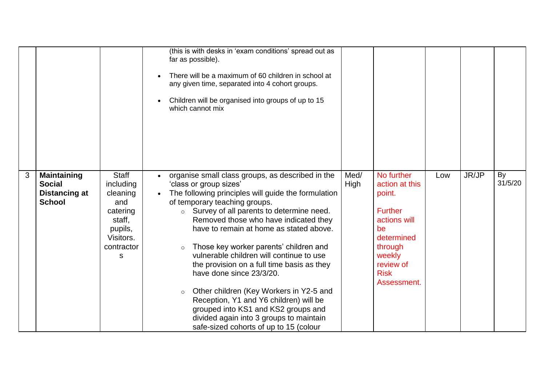|   |                                                                              |                                                                                                        | (this is with desks in 'exam conditions' spread out as<br>far as possible).<br>There will be a maximum of 60 children in school at<br>any given time, separated into 4 cohort groups.<br>Children will be organised into groups of up to 15<br>which cannot mix                                                                                                                                                                                                                                                                                                                                                                                                                                                                             |              |                                                                                                                                                              |     |       |               |
|---|------------------------------------------------------------------------------|--------------------------------------------------------------------------------------------------------|---------------------------------------------------------------------------------------------------------------------------------------------------------------------------------------------------------------------------------------------------------------------------------------------------------------------------------------------------------------------------------------------------------------------------------------------------------------------------------------------------------------------------------------------------------------------------------------------------------------------------------------------------------------------------------------------------------------------------------------------|--------------|--------------------------------------------------------------------------------------------------------------------------------------------------------------|-----|-------|---------------|
| 3 | <b>Maintaining</b><br><b>Social</b><br><b>Distancing at</b><br><b>School</b> | Staff<br>including<br>cleaning<br>and<br>catering<br>staff,<br>pupils,<br>Visitors.<br>contractor<br>s | organise small class groups, as described in the<br>$\bullet$<br>'class or group sizes'<br>The following principles will guide the formulation<br>$\bullet$<br>of temporary teaching groups.<br>$\circ$ Survey of all parents to determine need.<br>Removed those who have indicated they<br>have to remain at home as stated above.<br>Those key worker parents' children and<br>$\circ$<br>vulnerable children will continue to use<br>the provision on a full time basis as they<br>have done since 23/3/20.<br>Other children (Key Workers in Y2-5 and<br>$\circ$<br>Reception, Y1 and Y6 children) will be<br>grouped into KS1 and KS2 groups and<br>divided again into 3 groups to maintain<br>safe-sized cohorts of up to 15 (colour | Med/<br>High | No further<br>action at this<br>point.<br><b>Further</b><br>actions will<br>be<br>determined<br>through<br>weekly<br>review of<br><b>Risk</b><br>Assessment. | Low | JR/JP | By<br>31/5/20 |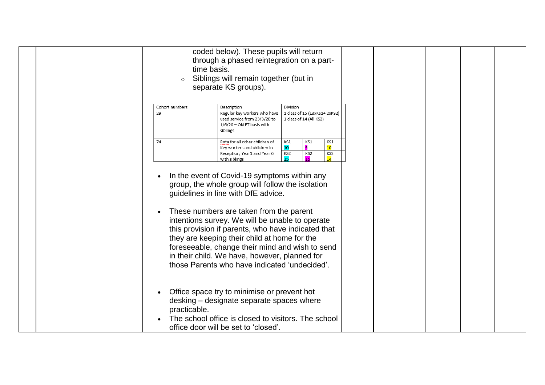|  | time basis.<br>$\circ$ | coded below). These pupils will return<br>through a phased reintegration on a part-<br>Siblings will remain together (but in<br>separate KS groups).                                                                                                                                                                                                                                           |                                                                      |                        |  |  |  |
|--|------------------------|------------------------------------------------------------------------------------------------------------------------------------------------------------------------------------------------------------------------------------------------------------------------------------------------------------------------------------------------------------------------------------------------|----------------------------------------------------------------------|------------------------|--|--|--|
|  | Cohort numbers<br>29   | Description<br>Regular key workers who have<br>used service from 23/3/20 to<br>$1/6/20$ – ON FT basis with<br>siblings                                                                                                                                                                                                                                                                         | Division<br>1 class of 15 (13xKS1+ 2xKS2)<br>1 class of 14 (All KS2) |                        |  |  |  |
|  | 74                     | Rota for all other children of<br>Key workers and children in<br>Reception, Year1 and Year 6<br>with siblings                                                                                                                                                                                                                                                                                  | KS1<br>KS1<br>9<br>10<br>KS2<br>KS2<br>15<br>15                      | KS1<br>10<br>KS2<br>14 |  |  |  |
|  | $\bullet$              | In the event of Covid-19 symptoms within any<br>group, the whole group will follow the isolation<br>guidelines in line with DfE advice.<br>These numbers are taken from the parent<br>intentions survey. We will be unable to operate<br>this provision if parents, who have indicated that<br>they are keeping their child at home for the<br>foreseeable, change their mind and wish to send |                                                                      |                        |  |  |  |
|  |                        | in their child. We have, however, planned for<br>those Parents who have indicated 'undecided'.                                                                                                                                                                                                                                                                                                 |                                                                      |                        |  |  |  |
|  | practicable.           | Office space try to minimise or prevent hot<br>desking – designate separate spaces where<br>The school office is closed to visitors. The school<br>office door will be set to 'closed'.                                                                                                                                                                                                        |                                                                      |                        |  |  |  |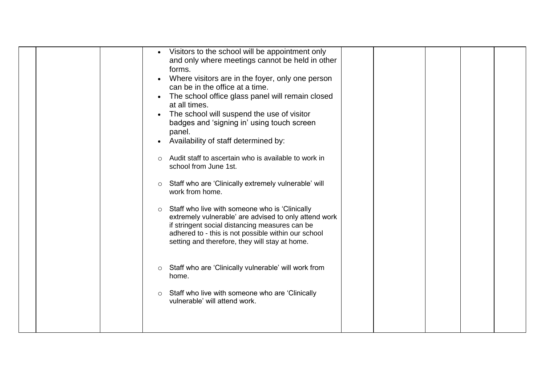| Visitors to the school will be appointment only<br>$\bullet$<br>and only where meetings cannot be held in other<br>forms.<br>Where visitors are in the foyer, only one person<br>$\bullet$<br>can be in the office at a time.<br>The school office glass panel will remain closed<br>$\bullet$<br>at all times.<br>The school will suspend the use of visitor<br>$\bullet$<br>badges and 'signing in' using touch screen<br>panel.<br>Availability of staff determined by:<br>Audit staff to ascertain who is available to work in<br>$\circ$<br>school from June 1st.<br>Staff who are 'Clinically extremely vulnerable' will<br>$\circ$ |
|-------------------------------------------------------------------------------------------------------------------------------------------------------------------------------------------------------------------------------------------------------------------------------------------------------------------------------------------------------------------------------------------------------------------------------------------------------------------------------------------------------------------------------------------------------------------------------------------------------------------------------------------|
| work from home.<br>Staff who live with someone who is 'Clinically<br>$\circ$<br>extremely vulnerable' are advised to only attend work<br>if stringent social distancing measures can be<br>adhered to - this is not possible within our school<br>setting and therefore, they will stay at home.<br>Staff who are 'Clinically vulnerable' will work from<br>$\circ$<br>home.<br>Staff who live with someone who are 'Clinically<br>$\circ$<br>vulnerable' will attend work.                                                                                                                                                               |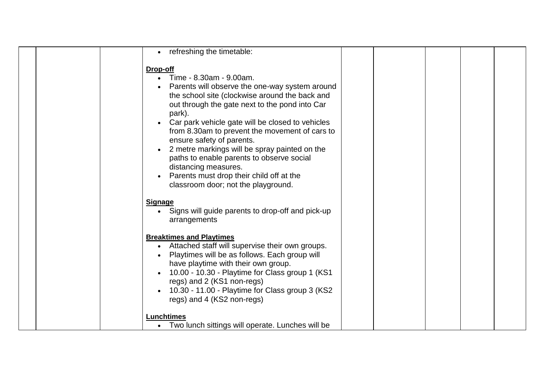|  | refreshing the timetable:                                                                                                                                                                                                                                                                                                                                                                                                                                                                                                                                    |  |  |  |
|--|--------------------------------------------------------------------------------------------------------------------------------------------------------------------------------------------------------------------------------------------------------------------------------------------------------------------------------------------------------------------------------------------------------------------------------------------------------------------------------------------------------------------------------------------------------------|--|--|--|
|  | Drop-off<br>Time - 8.30am - 9.00am.<br>Parents will observe the one-way system around<br>the school site (clockwise around the back and<br>out through the gate next to the pond into Car<br>park).<br>Car park vehicle gate will be closed to vehicles<br>from 8.30am to prevent the movement of cars to<br>ensure safety of parents.<br>2 metre markings will be spray painted on the<br>$\bullet$<br>paths to enable parents to observe social<br>distancing measures.<br>Parents must drop their child off at the<br>classroom door; not the playground. |  |  |  |
|  | <b>Signage</b><br>• Signs will guide parents to drop-off and pick-up<br>arrangements                                                                                                                                                                                                                                                                                                                                                                                                                                                                         |  |  |  |
|  | <b>Breaktimes and Playtimes</b><br>Attached staff will supervise their own groups.<br>Playtimes will be as follows. Each group will<br>have playtime with their own group.<br>10.00 - 10.30 - Playtime for Class group 1 (KS1)<br>regs) and 2 (KS1 non-regs)<br>10.30 - 11.00 - Playtime for Class group 3 (KS2)<br>regs) and 4 (KS2 non-regs)                                                                                                                                                                                                               |  |  |  |
|  | <b>Lunchtimes</b><br>Two lunch sittings will operate. Lunches will be<br>$\bullet$                                                                                                                                                                                                                                                                                                                                                                                                                                                                           |  |  |  |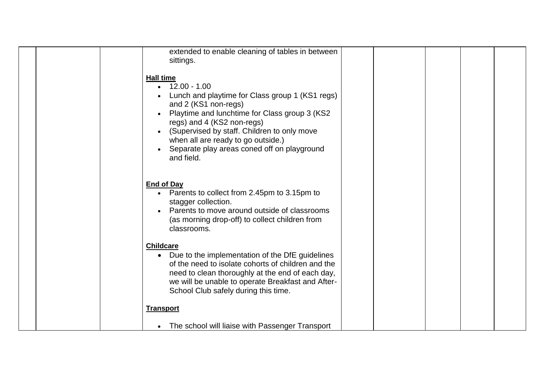|  | extended to enable cleaning of tables in between<br>sittings.                                                                                                                                                                                                                                                                                               |  |  |  |
|--|-------------------------------------------------------------------------------------------------------------------------------------------------------------------------------------------------------------------------------------------------------------------------------------------------------------------------------------------------------------|--|--|--|
|  | <b>Hall time</b><br>$12.00 - 1.00$<br>Lunch and playtime for Class group 1 (KS1 regs)<br>and 2 (KS1 non-regs)<br>Playtime and lunchtime for Class group 3 (KS2<br>regs) and 4 (KS2 non-regs)<br>(Supervised by staff. Children to only move<br>when all are ready to go outside.)<br>Separate play areas coned off on playground<br>$\bullet$<br>and field. |  |  |  |
|  | <b>End of Day</b><br>Parents to collect from 2.45pm to 3.15pm to<br>stagger collection.<br>Parents to move around outside of classrooms<br>(as morning drop-off) to collect children from<br>classrooms.                                                                                                                                                    |  |  |  |
|  | <b>Childcare</b><br>• Due to the implementation of the DfE guidelines<br>of the need to isolate cohorts of children and the<br>need to clean thoroughly at the end of each day,<br>we will be unable to operate Breakfast and After-<br>School Club safely during this time.                                                                                |  |  |  |
|  | <b>Transport</b>                                                                                                                                                                                                                                                                                                                                            |  |  |  |
|  | The school will liaise with Passenger Transport<br>$\bullet$                                                                                                                                                                                                                                                                                                |  |  |  |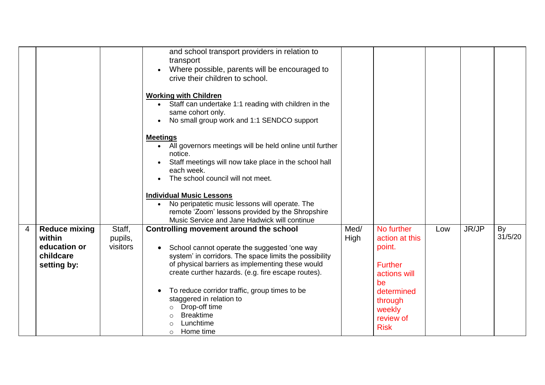|   |                                                                            |                               | and school transport providers in relation to<br>transport<br>Where possible, parents will be encouraged to<br>$\bullet$<br>crive their children to school.<br><b>Working with Children</b><br>Staff can undertake 1:1 reading with children in the<br>$\bullet$<br>same cohort only.<br>No small group work and 1:1 SENDCO support<br>$\bullet$<br><b>Meetings</b><br>All governors meetings will be held online until further<br>$\bullet$<br>notice.<br>Staff meetings will now take place in the school hall<br>each week.<br>The school council will not meet.<br><b>Individual Music Lessons</b><br>No peripatetic music lessons will operate. The<br>remote 'Zoom' lessons provided by the Shropshire |              |                                                                                                                                               |     |       |               |
|---|----------------------------------------------------------------------------|-------------------------------|--------------------------------------------------------------------------------------------------------------------------------------------------------------------------------------------------------------------------------------------------------------------------------------------------------------------------------------------------------------------------------------------------------------------------------------------------------------------------------------------------------------------------------------------------------------------------------------------------------------------------------------------------------------------------------------------------------------|--------------|-----------------------------------------------------------------------------------------------------------------------------------------------|-----|-------|---------------|
| 4 | <b>Reduce mixing</b><br>within<br>education or<br>childcare<br>setting by: | Staff,<br>pupils,<br>visitors | Music Service and Jane Hadwick will continue<br>Controlling movement around the school<br>School cannot operate the suggested 'one way<br>$\bullet$<br>system' in corridors. The space limits the possibility<br>of physical barriers as implementing these would<br>create curther hazards. (e.g. fire escape routes).<br>To reduce corridor traffic, group times to be<br>$\bullet$<br>staggered in relation to<br>Drop-off time<br><b>Breaktime</b><br>Lunchtime<br>Home time<br>$\circ$                                                                                                                                                                                                                  | Med/<br>High | No further<br>action at this<br>point.<br><b>Further</b><br>actions will<br>be<br>determined<br>through<br>weekly<br>review of<br><b>Risk</b> | Low | JR/JP | By<br>31/5/20 |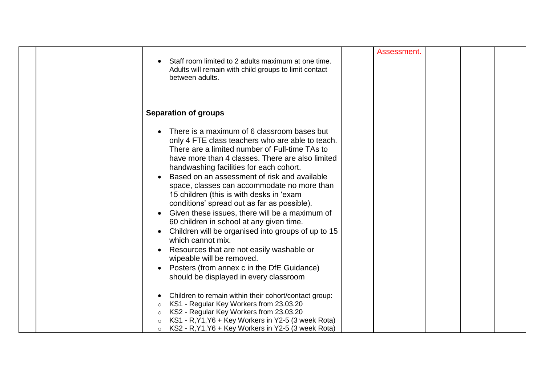|                               | Staff room limited to 2 adults maximum at one time.<br>Adults will remain with child groups to limit contact<br>between adults.                                                                                                                                                                                                                                                                                                                                                                                                                                                                                                                                                                                                                                                       | Assessment. |  |  |
|-------------------------------|---------------------------------------------------------------------------------------------------------------------------------------------------------------------------------------------------------------------------------------------------------------------------------------------------------------------------------------------------------------------------------------------------------------------------------------------------------------------------------------------------------------------------------------------------------------------------------------------------------------------------------------------------------------------------------------------------------------------------------------------------------------------------------------|-------------|--|--|
|                               | <b>Separation of groups</b>                                                                                                                                                                                                                                                                                                                                                                                                                                                                                                                                                                                                                                                                                                                                                           |             |  |  |
| $\bullet$                     | There is a maximum of 6 classroom bases but<br>only 4 FTE class teachers who are able to teach.<br>There are a limited number of Full-time TAs to<br>have more than 4 classes. There are also limited<br>handwashing facilities for each cohort.<br>Based on an assessment of risk and available<br>space, classes can accommodate no more than<br>15 children (this is with desks in 'exam<br>conditions' spread out as far as possible).<br>Given these issues, there will be a maximum of<br>60 children in school at any given time.<br>Children will be organised into groups of up to 15<br>which cannot mix.<br>Resources that are not easily washable or<br>wipeable will be removed.<br>Posters (from annex c in the DfE Guidance)<br>should be displayed in every classroom |             |  |  |
| $\circ$<br>$\circ$<br>$\circ$ | Children to remain within their cohort/contact group:<br>KS1 - Regular Key Workers from 23.03.20<br>KS2 - Regular Key Workers from 23.03.20<br>KS1 - R, Y1, Y6 + Key Workers in Y2-5 (3 week Rota)<br>KS2 - R, Y1, Y6 + Key Workers in Y2-5 (3 week Rota)                                                                                                                                                                                                                                                                                                                                                                                                                                                                                                                             |             |  |  |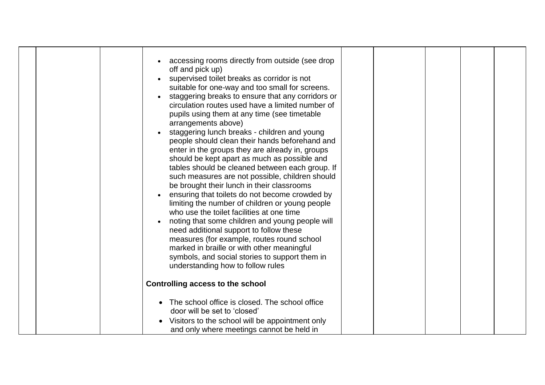|  | accessing rooms directly from outside (see drop<br>off and pick up)<br>supervised toilet breaks as corridor is not<br>suitable for one-way and too small for screens.<br>staggering breaks to ensure that any corridors or<br>circulation routes used have a limited number of<br>pupils using them at any time (see timetable<br>arrangements above)<br>staggering lunch breaks - children and young<br>people should clean their hands beforehand and<br>enter in the groups they are already in, groups<br>should be kept apart as much as possible and<br>tables should be cleaned between each group. If<br>such measures are not possible, children should<br>be brought their lunch in their classrooms<br>ensuring that toilets do not become crowded by<br>limiting the number of children or young people<br>who use the toilet facilities at one time<br>noting that some children and young people will<br>$\bullet$<br>need additional support to follow these<br>measures (for example, routes round school<br>marked in braille or with other meaningful<br>symbols, and social stories to support them in<br>understanding how to follow rules<br>Controlling access to the school |  |  |  |
|--|----------------------------------------------------------------------------------------------------------------------------------------------------------------------------------------------------------------------------------------------------------------------------------------------------------------------------------------------------------------------------------------------------------------------------------------------------------------------------------------------------------------------------------------------------------------------------------------------------------------------------------------------------------------------------------------------------------------------------------------------------------------------------------------------------------------------------------------------------------------------------------------------------------------------------------------------------------------------------------------------------------------------------------------------------------------------------------------------------------------------------------------------------------------------------------------------------|--|--|--|
|  | The school office is closed. The school office                                                                                                                                                                                                                                                                                                                                                                                                                                                                                                                                                                                                                                                                                                                                                                                                                                                                                                                                                                                                                                                                                                                                                     |  |  |  |
|  | door will be set to 'closed'                                                                                                                                                                                                                                                                                                                                                                                                                                                                                                                                                                                                                                                                                                                                                                                                                                                                                                                                                                                                                                                                                                                                                                       |  |  |  |
|  | Visitors to the school will be appointment only                                                                                                                                                                                                                                                                                                                                                                                                                                                                                                                                                                                                                                                                                                                                                                                                                                                                                                                                                                                                                                                                                                                                                    |  |  |  |
|  | and only where meetings cannot be held in                                                                                                                                                                                                                                                                                                                                                                                                                                                                                                                                                                                                                                                                                                                                                                                                                                                                                                                                                                                                                                                                                                                                                          |  |  |  |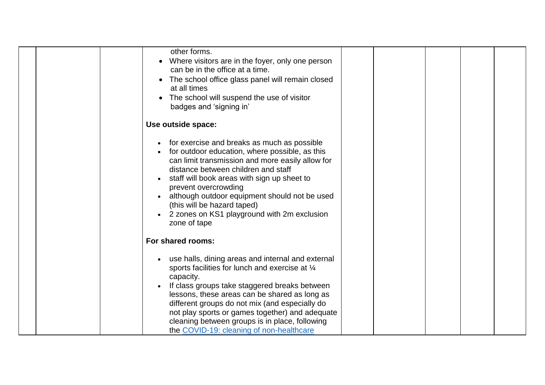| other forms.<br>Where visitors are in the foyer, only one person<br>can be in the office at a time.<br>The school office glass panel will remain closed<br>at all times<br>The school will suspend the use of visitor<br>badges and 'signing in'                                                                                                                                                                       |  |  |
|------------------------------------------------------------------------------------------------------------------------------------------------------------------------------------------------------------------------------------------------------------------------------------------------------------------------------------------------------------------------------------------------------------------------|--|--|
| Use outside space:                                                                                                                                                                                                                                                                                                                                                                                                     |  |  |
| for exercise and breaks as much as possible<br>for outdoor education, where possible, as this<br>can limit transmission and more easily allow for<br>distance between children and staff<br>staff will book areas with sign up sheet to<br>prevent overcrowding<br>although outdoor equipment should not be used<br>(this will be hazard taped)<br>2 zones on KS1 playground with 2m exclusion<br>zone of tape         |  |  |
| For shared rooms:                                                                                                                                                                                                                                                                                                                                                                                                      |  |  |
| use halls, dining areas and internal and external<br>sports facilities for lunch and exercise at 1/4<br>capacity.<br>If class groups take staggered breaks between<br>lessons, these areas can be shared as long as<br>different groups do not mix (and especially do<br>not play sports or games together) and adequate<br>cleaning between groups is in place, following<br>the COVID-19: cleaning of non-healthcare |  |  |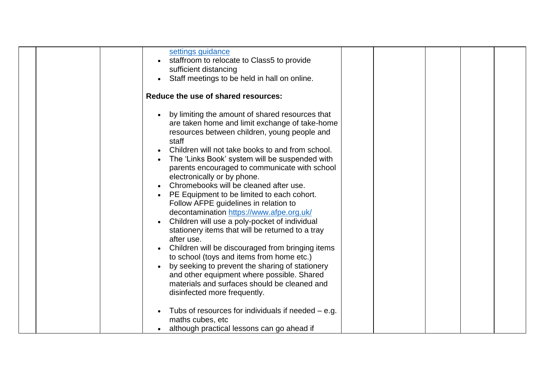|  | settings guidance<br>staffroom to relocate to Class5 to provide                                                                                                                                                                                                                                                                                                                                                                                                                                                                                                                                                                                               |  |  |  |
|--|---------------------------------------------------------------------------------------------------------------------------------------------------------------------------------------------------------------------------------------------------------------------------------------------------------------------------------------------------------------------------------------------------------------------------------------------------------------------------------------------------------------------------------------------------------------------------------------------------------------------------------------------------------------|--|--|--|
|  | sufficient distancing                                                                                                                                                                                                                                                                                                                                                                                                                                                                                                                                                                                                                                         |  |  |  |
|  | Staff meetings to be held in hall on online.                                                                                                                                                                                                                                                                                                                                                                                                                                                                                                                                                                                                                  |  |  |  |
|  |                                                                                                                                                                                                                                                                                                                                                                                                                                                                                                                                                                                                                                                               |  |  |  |
|  | Reduce the use of shared resources:                                                                                                                                                                                                                                                                                                                                                                                                                                                                                                                                                                                                                           |  |  |  |
|  | by limiting the amount of shared resources that<br>are taken home and limit exchange of take-home<br>resources between children, young people and<br>staff<br>Children will not take books to and from school.<br>The 'Links Book' system will be suspended with<br>parents encouraged to communicate with school<br>electronically or by phone.<br>Chromebooks will be cleaned after use.<br>PE Equipment to be limited to each cohort.<br>Follow AFPE guidelines in relation to<br>decontamination https://www.afpe.org.uk/<br>Children will use a poly-pocket of individual<br>$\bullet$<br>stationery items that will be returned to a tray<br>after use. |  |  |  |
|  | Children will be discouraged from bringing items<br>to school (toys and items from home etc.)                                                                                                                                                                                                                                                                                                                                                                                                                                                                                                                                                                 |  |  |  |
|  | by seeking to prevent the sharing of stationery<br>$\bullet$                                                                                                                                                                                                                                                                                                                                                                                                                                                                                                                                                                                                  |  |  |  |
|  | and other equipment where possible. Shared                                                                                                                                                                                                                                                                                                                                                                                                                                                                                                                                                                                                                    |  |  |  |
|  | materials and surfaces should be cleaned and                                                                                                                                                                                                                                                                                                                                                                                                                                                                                                                                                                                                                  |  |  |  |
|  | disinfected more frequently.                                                                                                                                                                                                                                                                                                                                                                                                                                                                                                                                                                                                                                  |  |  |  |
|  |                                                                                                                                                                                                                                                                                                                                                                                                                                                                                                                                                                                                                                                               |  |  |  |
|  | Tubs of resources for individuals if needed $-$ e.g.<br>maths cubes, etc                                                                                                                                                                                                                                                                                                                                                                                                                                                                                                                                                                                      |  |  |  |
|  | although practical lessons can go ahead if                                                                                                                                                                                                                                                                                                                                                                                                                                                                                                                                                                                                                    |  |  |  |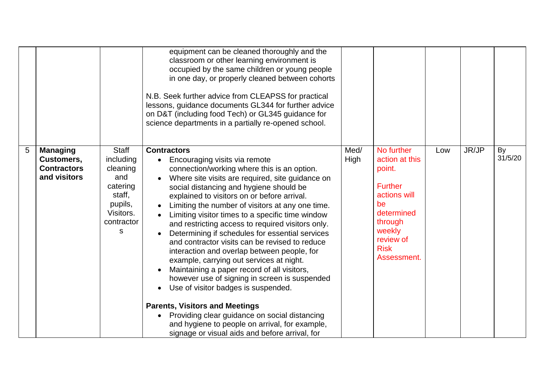|   |                                                                     |                                                                                                               | equipment can be cleaned thoroughly and the<br>classroom or other learning environment is<br>occupied by the same children or young people<br>in one day, or properly cleaned between cohorts<br>N.B. Seek further advice from CLEAPSS for practical<br>lessons, guidance documents GL344 for further advice<br>on D&T (including food Tech) or GL345 guidance for<br>science departments in a partially re-opened school.                                                                                                                                                                                                                                                                                                                                                                                                                                                                                                                                                                             |              |                                                                                                                                                              |     |       |               |
|---|---------------------------------------------------------------------|---------------------------------------------------------------------------------------------------------------|--------------------------------------------------------------------------------------------------------------------------------------------------------------------------------------------------------------------------------------------------------------------------------------------------------------------------------------------------------------------------------------------------------------------------------------------------------------------------------------------------------------------------------------------------------------------------------------------------------------------------------------------------------------------------------------------------------------------------------------------------------------------------------------------------------------------------------------------------------------------------------------------------------------------------------------------------------------------------------------------------------|--------------|--------------------------------------------------------------------------------------------------------------------------------------------------------------|-----|-------|---------------|
| 5 | <b>Managing</b><br>Customers,<br><b>Contractors</b><br>and visitors | <b>Staff</b><br>including<br>cleaning<br>and<br>catering<br>staff,<br>pupils,<br>Visitors.<br>contractor<br>S | <b>Contractors</b><br>Encouraging visits via remote<br>connection/working where this is an option.<br>Where site visits are required, site guidance on<br>$\bullet$<br>social distancing and hygiene should be<br>explained to visitors on or before arrival.<br>Limiting the number of visitors at any one time.<br>$\bullet$<br>Limiting visitor times to a specific time window<br>$\bullet$<br>and restricting access to required visitors only.<br>Determining if schedules for essential services<br>and contractor visits can be revised to reduce<br>interaction and overlap between people, for<br>example, carrying out services at night.<br>Maintaining a paper record of all visitors,<br>however use of signing in screen is suspended<br>Use of visitor badges is suspended.<br>$\bullet$<br><b>Parents, Visitors and Meetings</b><br>Providing clear guidance on social distancing<br>and hygiene to people on arrival, for example,<br>signage or visual aids and before arrival, for | Med/<br>High | No further<br>action at this<br>point.<br><b>Further</b><br>actions will<br>be<br>determined<br>through<br>weekly<br>review of<br><b>Risk</b><br>Assessment. | Low | JR/JP | By<br>31/5/20 |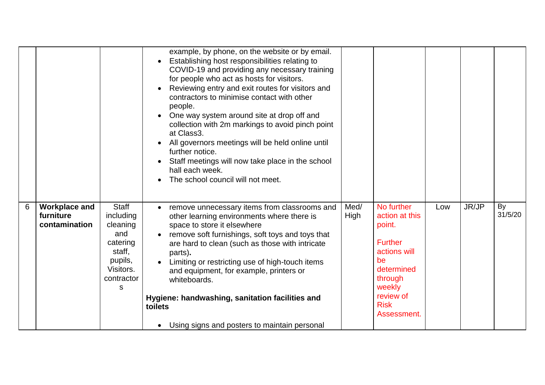|   |                                                    |                                                                                                               | example, by phone, on the website or by email.<br>Establishing host responsibilities relating to<br>COVID-19 and providing any necessary training<br>for people who act as hosts for visitors.<br>Reviewing entry and exit routes for visitors and<br>$\bullet$<br>contractors to minimise contact with other<br>people.<br>One way system around site at drop off and<br>$\bullet$<br>collection with 2m markings to avoid pinch point<br>at Class3.<br>All governors meetings will be held online until<br>further notice.<br>Staff meetings will now take place in the school<br>hall each week.<br>The school council will not meet. |              |                                                                                                                                                              |     |       |               |
|---|----------------------------------------------------|---------------------------------------------------------------------------------------------------------------|------------------------------------------------------------------------------------------------------------------------------------------------------------------------------------------------------------------------------------------------------------------------------------------------------------------------------------------------------------------------------------------------------------------------------------------------------------------------------------------------------------------------------------------------------------------------------------------------------------------------------------------|--------------|--------------------------------------------------------------------------------------------------------------------------------------------------------------|-----|-------|---------------|
| 6 | <b>Workplace and</b><br>furniture<br>contamination | <b>Staff</b><br>including<br>cleaning<br>and<br>catering<br>staff,<br>pupils,<br>Visitors.<br>contractor<br>S | remove unnecessary items from classrooms and<br>$\bullet$<br>other learning environments where there is<br>space to store it elsewhere<br>remove soft furnishings, soft toys and toys that<br>$\bullet$<br>are hard to clean (such as those with intricate<br>parts).<br>Limiting or restricting use of high-touch items<br>and equipment, for example, printers or<br>whiteboards.<br>Hygiene: handwashing, sanitation facilities and<br>toilets<br>Using signs and posters to maintain personal<br>$\bullet$                                                                                                                           | Med/<br>High | No further<br>action at this<br>point.<br><b>Further</b><br>actions will<br>be<br>determined<br>through<br>weekly<br>review of<br><b>Risk</b><br>Assessment. | Low | JR/JP | By<br>31/5/20 |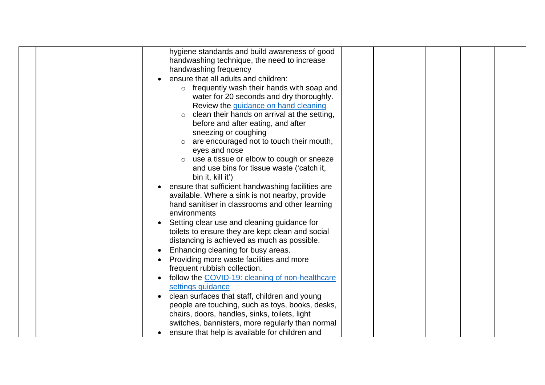| hygiene standards and build awareness of good               |
|-------------------------------------------------------------|
| handwashing technique, the need to increase                 |
| handwashing frequency                                       |
| ensure that all adults and children:                        |
| $\circ$ frequently wash their hands with soap and           |
| water for 20 seconds and dry thoroughly.                    |
| Review the guidance on hand cleaning                        |
| clean their hands on arrival at the setting,<br>$\circ$     |
| before and after eating, and after                          |
| sneezing or coughing                                        |
| are encouraged not to touch their mouth,<br>$\circ$         |
| eyes and nose                                               |
| use a tissue or elbow to cough or sneeze<br>$\circ$         |
| and use bins for tissue waste ('catch it,                   |
| bin it, kill it')                                           |
| ensure that sufficient handwashing facilities are           |
| available. Where a sink is not nearby, provide              |
| hand sanitiser in classrooms and other learning             |
| environments                                                |
| Setting clear use and cleaning guidance for                 |
| toilets to ensure they are kept clean and social            |
| distancing is achieved as much as possible.                 |
| Enhancing cleaning for busy areas.                          |
| Providing more waste facilities and more                    |
| frequent rubbish collection.                                |
| follow the COVID-19: cleaning of non-healthcare             |
| settings guidance                                           |
| clean surfaces that staff, children and young               |
| people are touching, such as toys, books, desks,            |
| chairs, doors, handles, sinks, toilets, light               |
| switches, bannisters, more regularly than normal            |
| ensure that help is available for children and<br>$\bullet$ |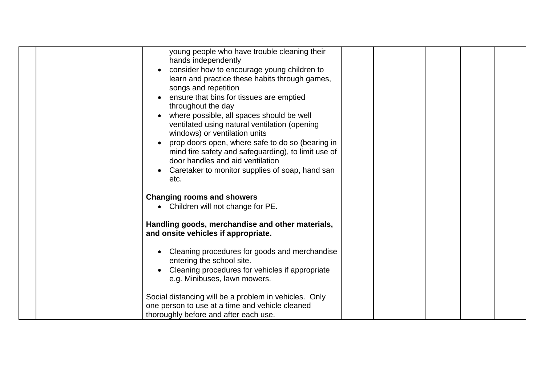|  | young people who have trouble cleaning their          |  |  |  |
|--|-------------------------------------------------------|--|--|--|
|  | hands independently                                   |  |  |  |
|  | consider how to encourage young children to           |  |  |  |
|  | learn and practice these habits through games,        |  |  |  |
|  | songs and repetition                                  |  |  |  |
|  | ensure that bins for tissues are emptied              |  |  |  |
|  | throughout the day                                    |  |  |  |
|  | where possible, all spaces should be well             |  |  |  |
|  | ventilated using natural ventilation (opening         |  |  |  |
|  | windows) or ventilation units                         |  |  |  |
|  | prop doors open, where safe to do so (bearing in      |  |  |  |
|  | mind fire safety and safeguarding), to limit use of   |  |  |  |
|  | door handles and aid ventilation                      |  |  |  |
|  | Caretaker to monitor supplies of soap, hand san       |  |  |  |
|  | etc.                                                  |  |  |  |
|  | <b>Changing rooms and showers</b>                     |  |  |  |
|  | Children will not change for PE.<br>$\bullet$         |  |  |  |
|  |                                                       |  |  |  |
|  | Handling goods, merchandise and other materials,      |  |  |  |
|  | and onsite vehicles if appropriate.                   |  |  |  |
|  |                                                       |  |  |  |
|  | Cleaning procedures for goods and merchandise         |  |  |  |
|  | entering the school site.                             |  |  |  |
|  | Cleaning procedures for vehicles if appropriate       |  |  |  |
|  | e.g. Minibuses, lawn mowers.                          |  |  |  |
|  |                                                       |  |  |  |
|  | Social distancing will be a problem in vehicles. Only |  |  |  |
|  | one person to use at a time and vehicle cleaned       |  |  |  |
|  | thoroughly before and after each use.                 |  |  |  |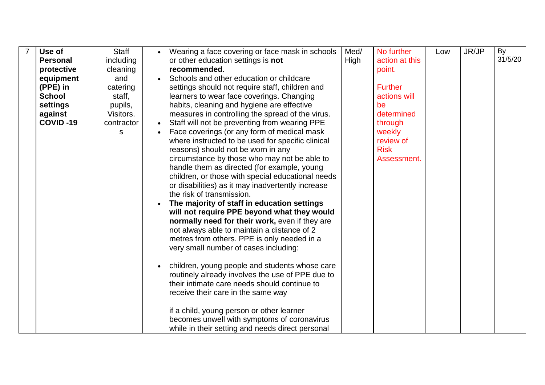| Use of          | Staff      | Wearing a face covering or face mask in schools                                               | Med/ | No further     | Low | JR/JP | By      |
|-----------------|------------|-----------------------------------------------------------------------------------------------|------|----------------|-----|-------|---------|
| <b>Personal</b> | including  | or other education settings is not                                                            | High | action at this |     |       | 31/5/20 |
| protective      | cleaning   | recommended.                                                                                  |      | point.         |     |       |         |
| equipment       | and        | Schools and other education or childcare                                                      |      |                |     |       |         |
| (PPE) in        | catering   | settings should not require staff, children and                                               |      | <b>Further</b> |     |       |         |
| <b>School</b>   | staff,     | learners to wear face coverings. Changing                                                     |      | actions will   |     |       |         |
| settings        | pupils,    | habits, cleaning and hygiene are effective                                                    |      | be             |     |       |         |
| against         | Visitors.  | measures in controlling the spread of the virus.                                              |      | determined     |     |       |         |
| COVID-19        | contractor | Staff will not be preventing from wearing PPE                                                 |      | through        |     |       |         |
|                 | S          | Face coverings (or any form of medical mask                                                   |      | weekly         |     |       |         |
|                 |            | where instructed to be used for specific clinical                                             |      | review of      |     |       |         |
|                 |            | reasons) should not be worn in any                                                            |      | <b>Risk</b>    |     |       |         |
|                 |            | circumstance by those who may not be able to                                                  |      | Assessment.    |     |       |         |
|                 |            | handle them as directed (for example, young                                                   |      |                |     |       |         |
|                 |            | children, or those with special educational needs                                             |      |                |     |       |         |
|                 |            | or disabilities) as it may inadvertently increase                                             |      |                |     |       |         |
|                 |            | the risk of transmission.                                                                     |      |                |     |       |         |
|                 |            | The majority of staff in education settings                                                   |      |                |     |       |         |
|                 |            | will not require PPE beyond what they would                                                   |      |                |     |       |         |
|                 |            | normally need for their work, even if they are<br>not always able to maintain a distance of 2 |      |                |     |       |         |
|                 |            | metres from others. PPE is only needed in a                                                   |      |                |     |       |         |
|                 |            | very small number of cases including:                                                         |      |                |     |       |         |
|                 |            |                                                                                               |      |                |     |       |         |
|                 |            | children, young people and students whose care                                                |      |                |     |       |         |
|                 |            | routinely already involves the use of PPE due to                                              |      |                |     |       |         |
|                 |            | their intimate care needs should continue to                                                  |      |                |     |       |         |
|                 |            | receive their care in the same way                                                            |      |                |     |       |         |
|                 |            |                                                                                               |      |                |     |       |         |
|                 |            | if a child, young person or other learner                                                     |      |                |     |       |         |
|                 |            | becomes unwell with symptoms of coronavirus                                                   |      |                |     |       |         |
|                 |            | while in their setting and needs direct personal                                              |      |                |     |       |         |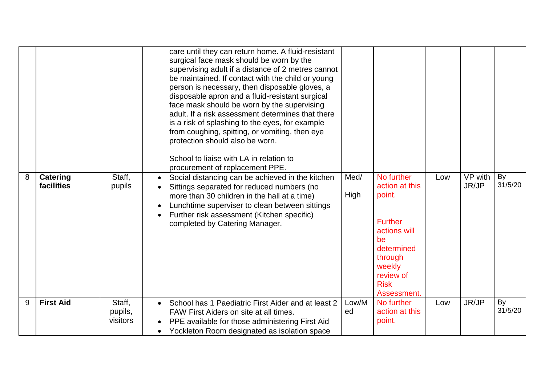|   |                               |                               | care until they can return home. A fluid-resistant<br>surgical face mask should be worn by the<br>supervising adult if a distance of 2 metres cannot<br>be maintained. If contact with the child or young<br>person is necessary, then disposable gloves, a<br>disposable apron and a fluid-resistant surgical<br>face mask should be worn by the supervising<br>adult. If a risk assessment determines that there<br>is a risk of splashing to the eyes, for example<br>from coughing, spitting, or vomiting, then eye<br>protection should also be worn.<br>School to liaise with LA in relation to<br>procurement of replacement PPE. |              |                                                                                                                                                              |     |                  |               |
|---|-------------------------------|-------------------------------|------------------------------------------------------------------------------------------------------------------------------------------------------------------------------------------------------------------------------------------------------------------------------------------------------------------------------------------------------------------------------------------------------------------------------------------------------------------------------------------------------------------------------------------------------------------------------------------------------------------------------------------|--------------|--------------------------------------------------------------------------------------------------------------------------------------------------------------|-----|------------------|---------------|
| 8 | <b>Catering</b><br>facilities | Staff,<br>pupils              | Social distancing can be achieved in the kitchen<br>$\bullet$<br>Sittings separated for reduced numbers (no<br>more than 30 children in the hall at a time)<br>Lunchtime superviser to clean between sittings<br>$\bullet$<br>Further risk assessment (Kitchen specific)<br>$\bullet$<br>completed by Catering Manager.                                                                                                                                                                                                                                                                                                                  | Med/<br>High | No further<br>action at this<br>point.<br><b>Further</b><br>actions will<br>be<br>determined<br>through<br>weekly<br>review of<br><b>Risk</b><br>Assessment. | Low | VP with<br>JR/JP | By<br>31/5/20 |
| 9 | <b>First Aid</b>              | Staff,<br>pupils,<br>visitors | School has 1 Paediatric First Aider and at least 2<br>FAW First Aiders on site at all times.<br>PPE available for those administering First Aid<br>$\bullet$<br>Yockleton Room designated as isolation space<br>$\bullet$                                                                                                                                                                                                                                                                                                                                                                                                                | Low/M<br>ed  | No further<br>action at this<br>point.                                                                                                                       | Low | JR/JP            | By<br>31/5/20 |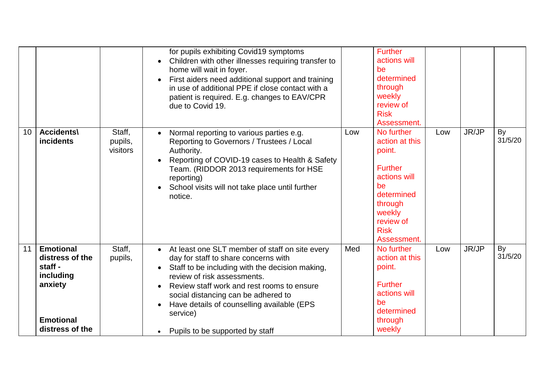|    |                                                                                                               |                               | for pupils exhibiting Covid19 symptoms<br>Children with other illnesses requiring transfer to<br>$\bullet$<br>home will wait in foyer.<br>First aiders need additional support and training<br>$\bullet$<br>in use of additional PPE if close contact with a<br>patient is required. E.g. changes to EAV/CPR<br>due to Covid 19.                                                                               |     | <b>Further</b><br>actions will<br>be<br>determined<br>through<br>weekly<br>review of<br><b>Risk</b><br>Assessment.                                           |     |       |               |
|----|---------------------------------------------------------------------------------------------------------------|-------------------------------|----------------------------------------------------------------------------------------------------------------------------------------------------------------------------------------------------------------------------------------------------------------------------------------------------------------------------------------------------------------------------------------------------------------|-----|--------------------------------------------------------------------------------------------------------------------------------------------------------------|-----|-------|---------------|
| 10 | <b>Accidents\</b><br><b>incidents</b>                                                                         | Staff,<br>pupils,<br>visitors | Normal reporting to various parties e.g.<br>$\bullet$<br>Reporting to Governors / Trustees / Local<br>Authority.<br>Reporting of COVID-19 cases to Health & Safety<br>$\bullet$<br>Team. (RIDDOR 2013 requirements for HSE<br>reporting)<br>School visits will not take place until further<br>notice.                                                                                                         | Low | No further<br>action at this<br>point.<br><b>Further</b><br>actions will<br>be<br>determined<br>through<br>weekly<br>review of<br><b>Risk</b><br>Assessment. | Low | JR/JP | By<br>31/5/20 |
| 11 | <b>Emotional</b><br>distress of the<br>staff -<br>including<br>anxiety<br><b>Emotional</b><br>distress of the | Staff,<br>pupils,             | At least one SLT member of staff on site every<br>$\bullet$<br>day for staff to share concerns with<br>Staff to be including with the decision making,<br>$\bullet$<br>review of risk assessments.<br>Review staff work and rest rooms to ensure<br>social distancing can be adhered to<br>Have details of counselling available (EPS<br>$\bullet$<br>service)<br>Pupils to be supported by staff<br>$\bullet$ | Med | No further<br>action at this<br>point.<br><b>Further</b><br>actions will<br>be<br>determined<br>through<br>weekly                                            | Low | JR/JP | By<br>31/5/20 |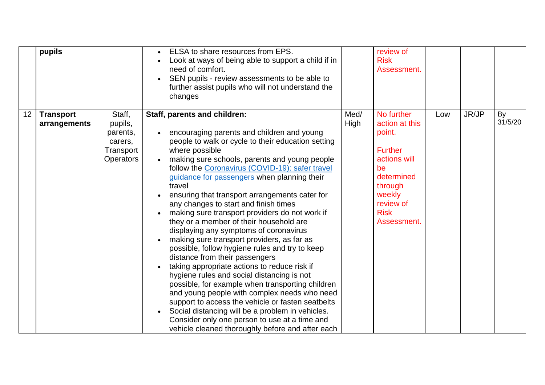|    | pupils                           |                                                                           | ELSA to share resources from EPS.<br>Look at ways of being able to support a child if in<br>need of comfort.<br>SEN pupils - review assessments to be able to<br>further assist pupils who will not understand the<br>changes                                                                                                                                                                                                                                                                                                                                                                                                                                                                                                                                                                                                                                                                                                                                                                                                                                                                       |              | review of<br><b>Risk</b><br>Assessment.                                                                                                                      |     |       |               |
|----|----------------------------------|---------------------------------------------------------------------------|-----------------------------------------------------------------------------------------------------------------------------------------------------------------------------------------------------------------------------------------------------------------------------------------------------------------------------------------------------------------------------------------------------------------------------------------------------------------------------------------------------------------------------------------------------------------------------------------------------------------------------------------------------------------------------------------------------------------------------------------------------------------------------------------------------------------------------------------------------------------------------------------------------------------------------------------------------------------------------------------------------------------------------------------------------------------------------------------------------|--------------|--------------------------------------------------------------------------------------------------------------------------------------------------------------|-----|-------|---------------|
| 12 | <b>Transport</b><br>arrangements | Staff,<br>pupils,<br>parents,<br>carers,<br>Transport<br><b>Operators</b> | Staff, parents and children:<br>encouraging parents and children and young<br>people to walk or cycle to their education setting<br>where possible<br>making sure schools, parents and young people<br>follow the Coronavirus (COVID-19): safer travel<br>guidance for passengers when planning their<br>travel<br>ensuring that transport arrangements cater for<br>any changes to start and finish times<br>making sure transport providers do not work if<br>they or a member of their household are<br>displaying any symptoms of coronavirus<br>making sure transport providers, as far as<br>possible, follow hygiene rules and try to keep<br>distance from their passengers<br>taking appropriate actions to reduce risk if<br>hygiene rules and social distancing is not<br>possible, for example when transporting children<br>and young people with complex needs who need<br>support to access the vehicle or fasten seatbelts<br>Social distancing will be a problem in vehicles.<br>Consider only one person to use at a time and<br>vehicle cleaned thoroughly before and after each | Med/<br>High | No further<br>action at this<br>point.<br><b>Further</b><br>actions will<br>be<br>determined<br>through<br>weekly<br>review of<br><b>Risk</b><br>Assessment. | Low | JR/JP | By<br>31/5/20 |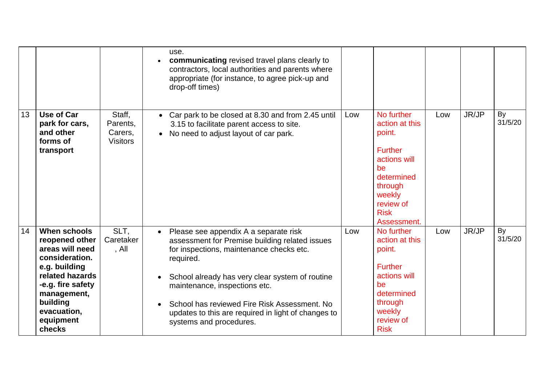|    |                                                                                                                                                                                                      |                                                  | use.<br>communicating revised travel plans clearly to<br>contractors, local authorities and parents where<br>appropriate (for instance, to agree pick-up and<br>drop-off times)                                                                                                                                                                                                                  |     |                                                                                                                                                              |     |       |               |
|----|------------------------------------------------------------------------------------------------------------------------------------------------------------------------------------------------------|--------------------------------------------------|--------------------------------------------------------------------------------------------------------------------------------------------------------------------------------------------------------------------------------------------------------------------------------------------------------------------------------------------------------------------------------------------------|-----|--------------------------------------------------------------------------------------------------------------------------------------------------------------|-----|-------|---------------|
| 13 | Use of Car<br>park for cars,<br>and other<br>forms of<br>transport                                                                                                                                   | Staff,<br>Parents.<br>Carers,<br><b>Visitors</b> | • Car park to be closed at 8.30 and from 2.45 until<br>3.15 to facilitate parent access to site.<br>• No need to adjust layout of car park.                                                                                                                                                                                                                                                      | Low | No further<br>action at this<br>point.<br><b>Further</b><br>actions will<br>be<br>determined<br>through<br>weekly<br>review of<br><b>Risk</b><br>Assessment. | Low | JR/JP | By<br>31/5/20 |
| 14 | <b>When schools</b><br>reopened other<br>areas will need<br>consideration.<br>e.g. building<br>related hazards<br>-e.g. fire safety<br>management,<br>building<br>evacuation,<br>equipment<br>checks | SLT,<br>Caretaker<br>, All                       | Please see appendix A a separate risk<br>$\bullet$<br>assessment for Premise building related issues<br>for inspections, maintenance checks etc.<br>required.<br>School already has very clear system of routine<br>maintenance, inspections etc.<br>School has reviewed Fire Risk Assessment, No<br>$\bullet$<br>updates to this are required in light of changes to<br>systems and procedures. | Low | No further<br>action at this<br>point.<br><b>Further</b><br>actions will<br>be<br>determined<br>through<br>weekly<br>review of<br><b>Risk</b>                | Low | JR/JP | By<br>31/5/20 |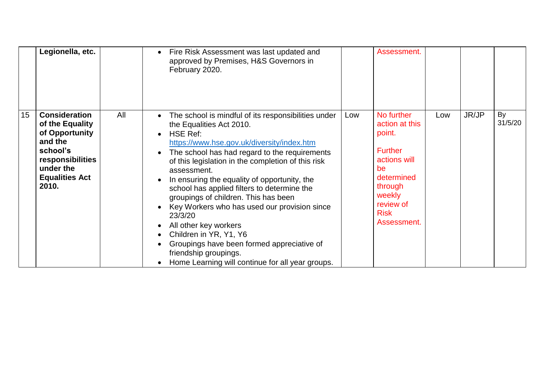|    | Legionella, etc.                                                                                                                                    |     | Fire Risk Assessment was last updated and<br>$\bullet$<br>approved by Premises, H&S Governors in<br>February 2020.                                                                                                                                                                                                                                                                                                                                                                                                                                                                                                                                     |     | Assessment.                                                                                                                                                  |     |       |               |
|----|-----------------------------------------------------------------------------------------------------------------------------------------------------|-----|--------------------------------------------------------------------------------------------------------------------------------------------------------------------------------------------------------------------------------------------------------------------------------------------------------------------------------------------------------------------------------------------------------------------------------------------------------------------------------------------------------------------------------------------------------------------------------------------------------------------------------------------------------|-----|--------------------------------------------------------------------------------------------------------------------------------------------------------------|-----|-------|---------------|
| 15 | <b>Consideration</b><br>of the Equality<br>of Opportunity<br>and the<br>school's<br>responsibilities<br>under the<br><b>Equalities Act</b><br>2010. | All | The school is mindful of its responsibilities under<br>the Equalities Act 2010.<br><b>HSE Ref:</b><br>https://www.hse.gov.uk/diversity/index.htm<br>The school has had regard to the requirements<br>of this legislation in the completion of this risk<br>assessment.<br>In ensuring the equality of opportunity, the<br>school has applied filters to determine the<br>groupings of children. This has been<br>Key Workers who has used our provision since<br>23/3/20<br>All other key workers<br>Children in YR, Y1, Y6<br>Groupings have been formed appreciative of<br>friendship groupings.<br>Home Learning will continue for all year groups. | Low | No further<br>action at this<br>point.<br><b>Further</b><br>actions will<br>be<br>determined<br>through<br>weekly<br>review of<br><b>Risk</b><br>Assessment. | Low | JR/JP | By<br>31/5/20 |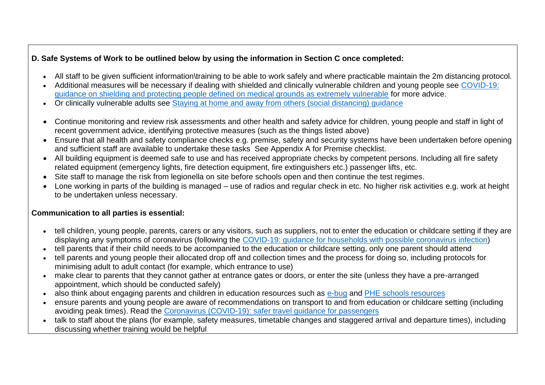## **D. Safe Systems of Work to be outlined below by using the information in Section C once completed:**

- All staff to be given sufficient information\training to be able to work safely and where practicable maintain the 2m distancing protocol.
- Additional measures will be necessary if dealing with shielded and clinically vulnerable children and young people see [COVID-19:](https://www.gov.uk/government/publications/guidance-on-shielding-and-protecting-extremely-vulnerable-persons-from-covid-19)  [guidance on shielding and protecting people defined on medical grounds as extremely vulnerable](https://www.gov.uk/government/publications/guidance-on-shielding-and-protecting-extremely-vulnerable-persons-from-covid-19) for more advice.
- Or clinically vulnerable adults see [Staying at home and away from others \(social distancing\) guidance](https://www.gov.uk/government/publications/staying-alert-and-safe-social-distancing/staying-alert-and-safe-social-distancing#clinically-vulnerable-people)
- Continue monitoring and review risk assessments and other health and safety advice for children, young people and staff in light of recent government advice, identifying protective measures (such as the things listed above)
- Ensure that all health and safety compliance checks e.g. premise, safety and security systems have been undertaken before opening and sufficient staff are available to undertake these tasks See Appendix A for Premise checklist.
- All building equipment is deemed safe to use and has received appropriate checks by competent persons. Including all fire safety related equipment (emergency lights, fire detection equipment, fire extinguishers etc.) passenger lifts, etc.
- Site staff to manage the risk from legionella on site before schools open and then continue the test regimes.
- Lone working in parts of the building is managed use of radios and regular check in etc. No higher risk activities e.g. work at height to be undertaken unless necessary.

### **Communication to all parties is essential:**

- tell children, young people, parents, carers or any visitors, such as suppliers, not to enter the education or childcare setting if they are displaying any symptoms of coronavirus (following the [COVID-19: guidance for households with possible coronavirus infection\)](https://www.gov.uk/government/publications/covid-19-stay-at-home-guidance)
- tell parents that if their child needs to be accompanied to the education or childcare setting, only one parent should attend
- tell parents and young people their allocated drop off and collection times and the process for doing so, including protocols for minimising adult to adult contact (for example, which entrance to use)
- make clear to parents that they cannot gather at entrance gates or doors, or enter the site (unless they have a pre-arranged appointment, which should be conducted safely)
- also think about engaging parents and children in education resources such as [e-bug](https://www.e-bug.eu/) and [PHE schools resources](https://campaignresources.phe.gov.uk/schools)
- ensure parents and young people are aware of recommendations on transport to and from education or childcare setting (including avoiding peak times). Read the [Coronavirus \(COVID-19\): safer travel guidance for passengers](https://www.gov.uk/guidance/coronavirus-covid-19-safer-travel-guidance-for-passengers)
- talk to staff about the plans (for example, safety measures, timetable changes and staggered arrival and departure times), including discussing whether training would be helpful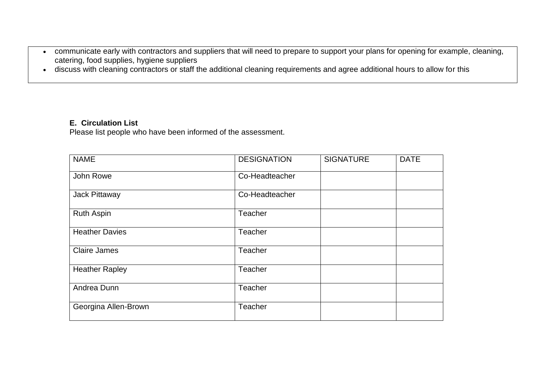- communicate early with contractors and suppliers that will need to prepare to support your plans for opening for example, cleaning, catering, food supplies, hygiene suppliers
- discuss with cleaning contractors or staff the additional cleaning requirements and agree additional hours to allow for this

### **E. Circulation List**

Please list people who have been informed of the assessment.

| <b>NAME</b>           | <b>DESIGNATION</b> | <b>SIGNATURE</b> | <b>DATE</b> |
|-----------------------|--------------------|------------------|-------------|
| John Rowe             | Co-Headteacher     |                  |             |
| Jack Pittaway         | Co-Headteacher     |                  |             |
| <b>Ruth Aspin</b>     | Teacher            |                  |             |
| <b>Heather Davies</b> | Teacher            |                  |             |
| <b>Claire James</b>   | <b>Teacher</b>     |                  |             |
| <b>Heather Rapley</b> | Teacher            |                  |             |
| Andrea Dunn           | Teacher            |                  |             |
| Georgina Allen-Brown  | Teacher            |                  |             |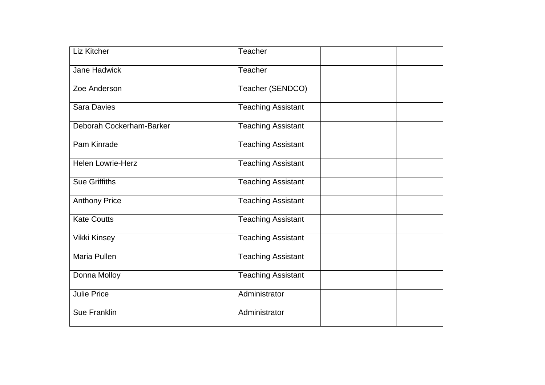| Liz Kitcher              | Teacher                   |
|--------------------------|---------------------------|
| Jane Hadwick             | Teacher                   |
| Zoe Anderson             | Teacher (SENDCO)          |
| <b>Sara Davies</b>       | <b>Teaching Assistant</b> |
| Deborah Cockerham-Barker | <b>Teaching Assistant</b> |
| Pam Kinrade              | <b>Teaching Assistant</b> |
| <b>Helen Lowrie-Herz</b> | <b>Teaching Assistant</b> |
| <b>Sue Griffiths</b>     | <b>Teaching Assistant</b> |
| <b>Anthony Price</b>     | <b>Teaching Assistant</b> |
| <b>Kate Coutts</b>       | <b>Teaching Assistant</b> |
| <b>Vikki Kinsey</b>      | <b>Teaching Assistant</b> |
| <b>Maria Pullen</b>      | <b>Teaching Assistant</b> |
| Donna Molloy             | Teaching Assistant        |
| <b>Julie Price</b>       | Administrator             |
| <b>Sue Franklin</b>      | Administrator             |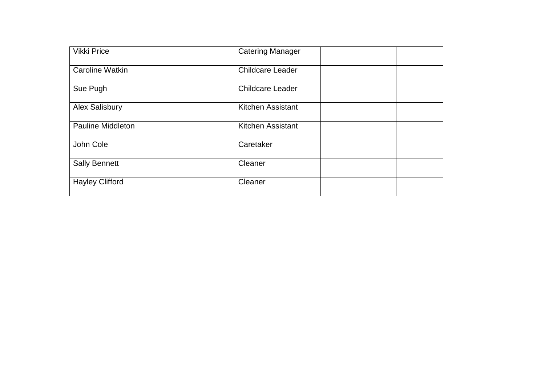| <b>Vikki Price</b>       | <b>Catering Manager</b> |
|--------------------------|-------------------------|
| <b>Caroline Watkin</b>   | <b>Childcare Leader</b> |
| Sue Pugh                 | <b>Childcare Leader</b> |
| <b>Alex Salisbury</b>    | Kitchen Assistant       |
| <b>Pauline Middleton</b> | Kitchen Assistant       |
| John Cole                | Caretaker               |
| <b>Sally Bennett</b>     | Cleaner                 |
| <b>Hayley Clifford</b>   | Cleaner                 |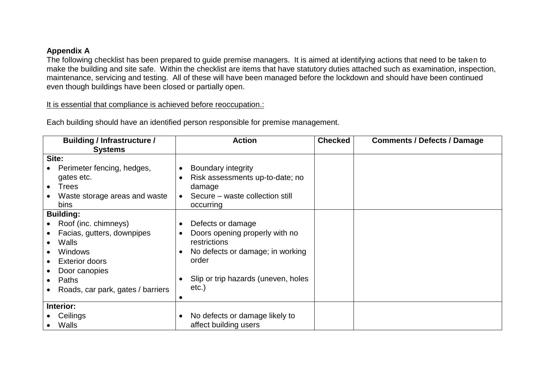### **Appendix A**

The following checklist has been prepared to guide premise managers. It is aimed at identifying actions that need to be taken to make the building and site safe. Within the checklist are items that have statutory duties attached such as examination, inspection, maintenance, servicing and testing. All of these will have been managed before the lockdown and should have been continued even though buildings have been closed or partially open.

It is essential that compliance is achieved before reoccupation.:

| <b>Building / Infrastructure /</b> | <b>Action</b>                                 | <b>Checked</b> | <b>Comments / Defects / Damage</b> |
|------------------------------------|-----------------------------------------------|----------------|------------------------------------|
| <b>Systems</b>                     |                                               |                |                                    |
| Site:                              |                                               |                |                                    |
| Perimeter fencing, hedges,         | Boundary integrity<br>$\bullet$               |                |                                    |
| gates etc.                         | Risk assessments up-to-date; no<br>$\bullet$  |                |                                    |
| <b>Trees</b><br>$\bullet$          | damage                                        |                |                                    |
| Waste storage areas and waste      | Secure – waste collection still<br>$\bullet$  |                |                                    |
| bins                               | occurring                                     |                |                                    |
| <b>Building:</b>                   |                                               |                |                                    |
| Roof (inc. chimneys)               | Defects or damage<br>$\bullet$                |                |                                    |
| Facias, gutters, downpipes         | Doors opening properly with no<br>$\bullet$   |                |                                    |
| <b>Walls</b><br>$\bullet$          | restrictions                                  |                |                                    |
| <b>Windows</b><br>$\bullet$        | No defects or damage; in working<br>$\bullet$ |                |                                    |
| <b>Exterior doors</b>              | order                                         |                |                                    |
| Door canopies                      |                                               |                |                                    |
| Paths<br>$\bullet$                 | Slip or trip hazards (uneven, holes           |                |                                    |
| Roads, car park, gates / barriers  | etc.)                                         |                |                                    |
|                                    |                                               |                |                                    |
| Interior:                          |                                               |                |                                    |
| Ceilings                           | No defects or damage likely to<br>$\bullet$   |                |                                    |
| Walls<br>$\bullet$                 | affect building users                         |                |                                    |

Each building should have an identified person responsible for premise management.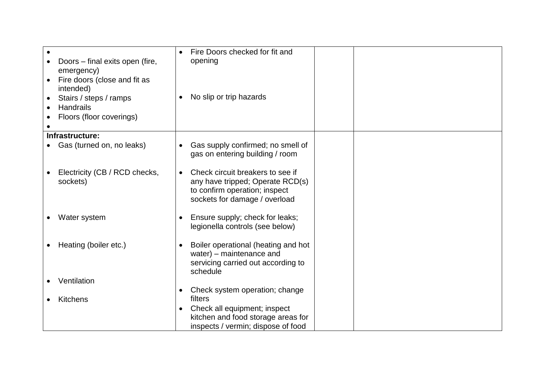| Doors - final exits open (fire,<br>emergency)<br>Fire doors (close and fit as<br>$\bullet$<br>intended)<br>Stairs / steps / ramps<br>$\bullet$<br>Handrails<br>Floors (floor coverings) | Fire Doors checked for fit and<br>opening<br>No slip or trip hazards<br>$\bullet$                                                                   |  |
|-----------------------------------------------------------------------------------------------------------------------------------------------------------------------------------------|-----------------------------------------------------------------------------------------------------------------------------------------------------|--|
| Infrastructure:                                                                                                                                                                         |                                                                                                                                                     |  |
| Gas (turned on, no leaks)                                                                                                                                                               | Gas supply confirmed; no smell of<br>$\bullet$<br>gas on entering building / room                                                                   |  |
| Electricity (CB / RCD checks,<br>sockets)                                                                                                                                               | Check circuit breakers to see if<br>$\bullet$<br>any have tripped; Operate RCD(s)<br>to confirm operation; inspect<br>sockets for damage / overload |  |
| Water system                                                                                                                                                                            | Ensure supply; check for leaks;<br>$\bullet$<br>legionella controls (see below)                                                                     |  |
| Heating (boiler etc.)<br>$\bullet$                                                                                                                                                      | Boiler operational (heating and hot<br>$\bullet$<br>water) – maintenance and<br>servicing carried out according to<br>schedule                      |  |
| Ventilation                                                                                                                                                                             |                                                                                                                                                     |  |
| Kitchens                                                                                                                                                                                | Check system operation; change<br>$\bullet$<br>filters<br>Check all equipment; inspect<br>$\bullet$<br>kitchen and food storage areas for           |  |
|                                                                                                                                                                                         | inspects / vermin; dispose of food                                                                                                                  |  |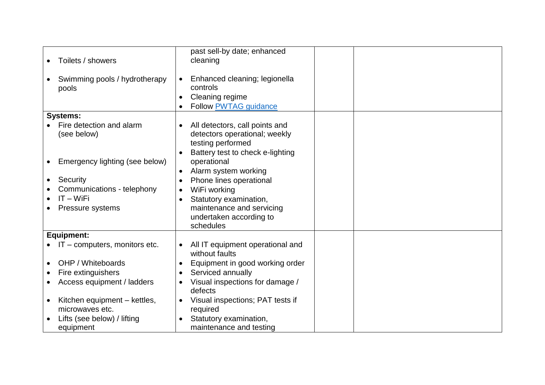| pools                 | Toilets / showers<br>Swimming pools / hydrotherapy | $\bullet$<br>$\bullet$ | past sell-by date; enhanced<br>cleaning<br>Enhanced cleaning; legionella<br>controls<br>Cleaning regime                  |  |
|-----------------------|----------------------------------------------------|------------------------|--------------------------------------------------------------------------------------------------------------------------|--|
|                       |                                                    | $\bullet$              | <b>Follow PWTAG guidance</b>                                                                                             |  |
| <b>Systems:</b>       |                                                    |                        |                                                                                                                          |  |
|                       | Fire detection and alarm<br>(see below)            | $\bullet$<br>$\bullet$ | All detectors, call points and<br>detectors operational; weekly<br>testing performed<br>Battery test to check e-lighting |  |
| $\bullet$             | Emergency lighting (see below)                     | $\bullet$              | operational<br>Alarm system working                                                                                      |  |
| Security<br>$\bullet$ |                                                    |                        | Phone lines operational                                                                                                  |  |
|                       | Communications - telephony                         | $\bullet$<br>$\bullet$ | WiFi working                                                                                                             |  |
|                       | $IT - WiFi$                                        | $\bullet$              | Statutory examination,                                                                                                   |  |
|                       | Pressure systems                                   |                        | maintenance and servicing<br>undertaken according to<br>schedules                                                        |  |
| <b>Equipment:</b>     |                                                    |                        |                                                                                                                          |  |
|                       | IT - computers, monitors etc.                      |                        | All IT equipment operational and<br>without faults                                                                       |  |
|                       | OHP / Whiteboards                                  | $\bullet$              | Equipment in good working order                                                                                          |  |
| $\bullet$             | Fire extinguishers                                 | $\bullet$              | Serviced annually                                                                                                        |  |
|                       | Access equipment / ladders                         | $\bullet$              | Visual inspections for damage /<br>defects                                                                               |  |
|                       | Kitchen equipment - kettles,                       | $\bullet$              | Visual inspections; PAT tests if                                                                                         |  |
|                       | microwaves etc.                                    |                        | required                                                                                                                 |  |
|                       | Lifts (see below) / lifting                        |                        | Statutory examination,                                                                                                   |  |
|                       | equipment                                          |                        | maintenance and testing                                                                                                  |  |